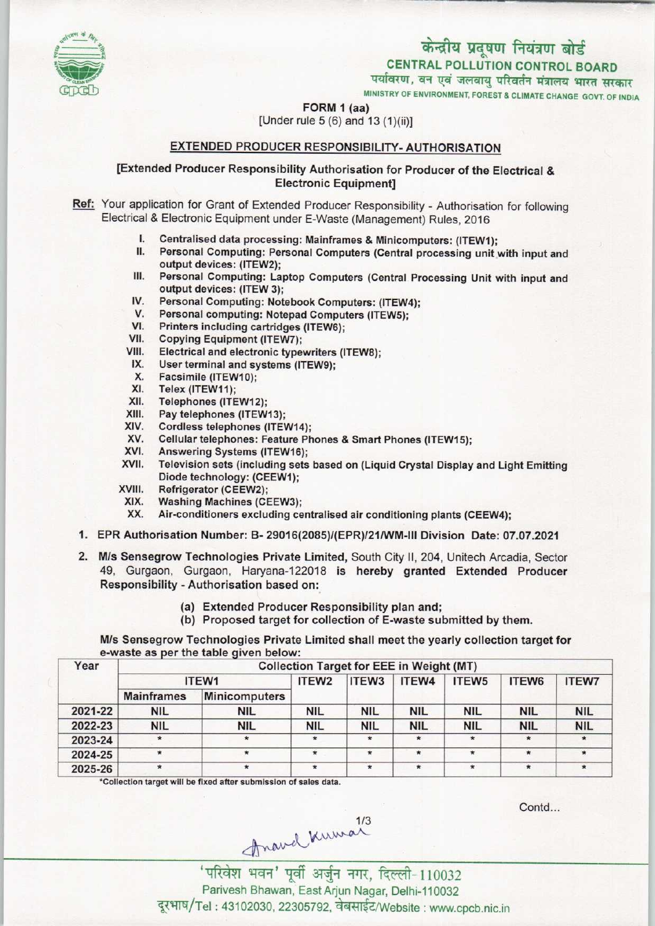# केन्द्रीय प्रदूषण नियंत्रण बोर्ड

CENTRAL POLLUTION CONTROL BOARD

पर्यावरण, वन एवं जलवायु परिवर्तन मंत्रालय भारत सरकार

MINISTRY OF ENVIRONMENT, FOREST & CLIMATE CHANGE GOVT. OF INDIA

FORM 1 (aa)

[Under rule 5 (6) and 13 (1)(ii)]

# EXTENDED PRODUCER RESPONSIBILITY-AUTHORISATION

# [Extended Producer Responsibility Authorisation for Producer of the Electrical & Electronic Equipment]

- Ref: Your application for Grant of Extended Producer Responsibility Authorisation for following Electrical & Electronic Equipment under E-Waste (Management) Rules, 2016
	- I. Centralised data processing: Mainframes & Minicomputers: (ITEW1);<br>II. Personal Computing: Personal Computers (Central processing unit)
	- Personal Computing: Personal Computers (Central processing unit with input and output devices: (1TEW2);
	- III. Personal Computing: Laptop Computers (Central Processing Unit with input and output devices: (ITEW 3);
	- IV. Personal Computing: Notebook Computers: (ITEW4);
	- IV. Personal Computing: Notebook Computers: (ITEW<br>V. Personal computing: Notepad Computers (ITEW5);<br>VI. Printers including cartridges (ITEW6);<br>/// Conving Equipment (ITEW3);
	- V. Personal computing, Notepa<br>VII. Copying Equipment (ITEW7);<br>VII. Electrical and electronic tune
	-
	- VI. Printers including cartridges (ITEW6);<br>VII. Copying Equipment (ITEW7);<br>VIII. Electrical and electronic typewriters (ITEW8);<br>IX User terminal and systems (ITEW9); VII. Copying Equipment (ITEW7);<br>III. Electrical and electronic typewriters<br>IX. User terminal and systems (ITEW9);
	-
	- ii. Electrical and electrical<br>X. User terminal and s<br>X. Facsimile (ITEW10);<br>X. Telex (ITEW11); IX. User terminal and sy<br>X. Facsimile (ITEW10);<br>XI. Telex (ITEW11);<br>XII. Telephones (ITEW12)
	-
	- XII. Telephones (ITEW12);<br>XIII. Pay telephones (ITEW
	- XIII. Pay telephones (ITEW13);<br>XIV. Cordless telephones (ITE)
	- XIV. Cordless telephones (ITEW14);<br>XV. Cellular telephones: Feature Ph
	- XIII. Pay telephones (ITEW13);<br>XIV. Cordiess telephones: Feature Phones & Smart Phones (ITEW15);<br>XV. Cellular telephones: Feature Phones & Smart Phones (ITEW15); XIV. Columnes dephones (ITEW14)<br>XV. Cellular telephones: Feature F<br>XVI. Television sets (including sets)
	-
	- XVI. Answering Systems (ITEW16);<br>XVII. Television sets (including sets based on (Liquid Crystal Display and Light Emitting Diode technology: (CEEW1);
	- XVIII. Refrigerator (CEEW2);<br>XIX. Washing Machines (CE
		- XIX. Washing Machines(CEEW3);
	- Air-conditioners excluding centralised air conditioning plants (CEEW4);
- 1.EPR Authorisation Number: B- 29016(2085)/(EPR)/21/WM-lll Division Date: 07.07.2021
- 2. M/s Sensegrow Technologies Private Limited, South City II, 204, Unitech Arcadia, Sector 49, Gurgaon, Gurgaon, Haryana-122018 is hereby granted Extended Producer Responsibility -Authorisation based on:
	- (a)Extended Producer Responsibility plan and;
	- (b) Proposed target for collection of E-waste submitted by them.

M/s Sensegrow Technologies Private Limited shall meet the yearly collection target for e-waste as per the table given below:

| Year    | <b>Collection Target for EEE in Weight (MT)</b> |                      |                   |                   |            |                   |            |              |  |
|---------|-------------------------------------------------|----------------------|-------------------|-------------------|------------|-------------------|------------|--------------|--|
|         | ITEW1                                           |                      | ITEW <sub>2</sub> | ITEW <sub>3</sub> | ITEW4      | ITEW <sub>5</sub> | ITEW6      | <b>ITEW7</b> |  |
|         | <b>Mainframes</b>                               | <b>Minicomputers</b> |                   |                   |            |                   |            |              |  |
| 2021-22 | <b>NIL</b>                                      | <b>NIL</b>           | <b>NIL</b>        | <b>NIL</b>        | <b>NIL</b> | <b>NIL</b>        | <b>NIL</b> | <b>NIL</b>   |  |
| 2022-23 | <b>NIL</b>                                      | <b>NIL</b>           | <b>NIL</b>        | <b>NIL</b>        | <b>NIL</b> | <b>NIL</b>        | <b>NIL</b> | <b>NIL</b>   |  |
| 2023-24 | $\star$                                         | $\star$              | $\star$           |                   | $\star$    | $\star$           | $\star$    |              |  |
| 2024-25 |                                                 |                      | $\star$           |                   |            | $\star$           |            |              |  |
| 2025-26 | $\star$                                         |                      | $\star$           |                   | $\star$    | $\star$           | ÷          |              |  |

\*Collection target will be fixed after submission of sales data.

Contd...

...<br>वन' पूर्वी अर्जुन नगर, दिल्ली-110032 Parivesh Bhawan, East Arjun Nagar, Delhi-110032 दूरभाष/Tel : 43102030, 22305792, वेबसाईट/Website : www.cpcb.nic.in

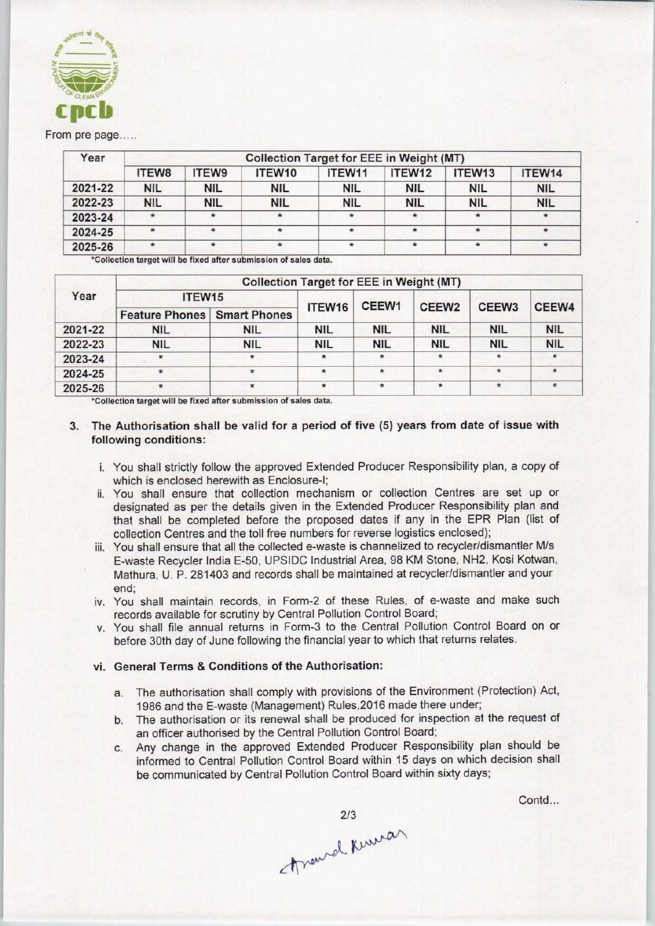

#### From pre page.....

| Year    | <b>Collection Target for EEE in Weight (MT)</b> |              |            |            |            |                    |            |  |  |
|---------|-------------------------------------------------|--------------|------------|------------|------------|--------------------|------------|--|--|
|         | <b>ITEW8</b>                                    | <b>ITEW9</b> | ITEW10     | ITEW11     | ITEW12     | ITEW <sub>13</sub> | ITEW14     |  |  |
| 2021-22 | <b>NIL</b>                                      | <b>NIL</b>   | NIL        | <b>NIL</b> | <b>NIL</b> | <b>NIL</b>         | <b>NIL</b> |  |  |
| 2022-23 | <b>NIL</b>                                      | <b>NIL</b>   | <b>NIL</b> | <b>NIL</b> | <b>NIL</b> | <b>NIL</b>         | <b>NIL</b> |  |  |
| 2023-24 | $\star$                                         |              |            | $\star$    |            |                    | $\star$    |  |  |
| 2024-25 | $\star$                                         |              |            |            |            |                    | $\star$    |  |  |
| 2025-26 |                                                 |              | $\star$    |            |            |                    | $\star$    |  |  |

"Collection target will be fixed after submission of sales data.

| Year    | <b>Collection Target for EEE in Weight (MT)</b> |            |            |              |                   |                   |            |  |  |  |
|---------|-------------------------------------------------|------------|------------|--------------|-------------------|-------------------|------------|--|--|--|
|         | ITEW <sub>15</sub>                              |            | CEEW1      |              |                   |                   |            |  |  |  |
|         | <b>Feature Phones Smart Phones</b>              |            | ITEW16     |              | CEEW <sub>2</sub> | CEEW <sub>3</sub> | CEEW4      |  |  |  |
| 2021-22 | <b>NIL</b>                                      | <b>NIL</b> | <b>NIL</b> | <b>NIL</b>   | <b>NIL</b>        | <b>NIL</b>        | <b>NIL</b> |  |  |  |
| 2022-23 | <b>NIL</b>                                      | <b>NIL</b> | <b>NIL</b> | <b>NIL</b>   | <b>NIL</b>        | <b>NIL</b>        | <b>NIL</b> |  |  |  |
| 2023-24 | $\star$                                         |            | $\star$    | $*$          | $\star$           | $\mathbf{r}$      |            |  |  |  |
| 2024-25 | $\star$                                         | $\star$    | $\star$    | $\star$      | $\star$           | $\star$           |            |  |  |  |
| 2025-26 | $\star$                                         |            | $\star$    | $\pmb{\ast}$ | $\star$           | $\star$           | $\star$    |  |  |  |

\*Collection target will be fixed after submission of sales data.

## 3. The Authorisation shall be valid for a period of five (5) years from date of issue with following conditions:

- i. You shall strictly follow the approved Extended Producer Responsibility plan, a copy of which is enclosed herewith as Enclosure-I;
- ii. You shall ensure that collection mechanism or collection Centres are set up or designated as per the details given in the Extended Producer Responsibility plan and that shall be completed before the proposed dates if any in the EPR Plan (list of collection Centres and the toll free numbers for reverse logistics enclosed);
- iii. You shall ensure that all the collected e-waste is channelized to recycler/dismantler M/s E-waste Recycler India E-50, UPSIDC Industrial Area, 98 KM Stone, NH2, Kosi Kotwan, Mathura, U. P. 281403 and records shall be maintained at recycler/dismantler and your end;
- iv. You shall maintain records, in Form-2 of these Rules, of e-waste and make such records available for scrutiny by Central Pollution Control Board;
- v. You shall file annual returns in Form-3 to the Central Pollution Control Board on or before 30th day of June following the financial year to which that returns relates.

# vi. General Terms & Conditions of the Authorisation:

- a. The authorisation shall comply with provisions of the Environment (Protection) Act, 1986 and the E-waste (Management) Rules,2016 made there under;
- b. The authorisation or its renewal shall be produced for inspection at the request of an officer authorised by the Central Pollution Control Board;
- c.Any change in the approved Extended Producer Responsibility plan should be informed to Central Pollution Control Board within 15 days on which decision shall be communicated by Central Pollution Control Board within sixty days;

2/3<br>Travel Kumar

Contd...